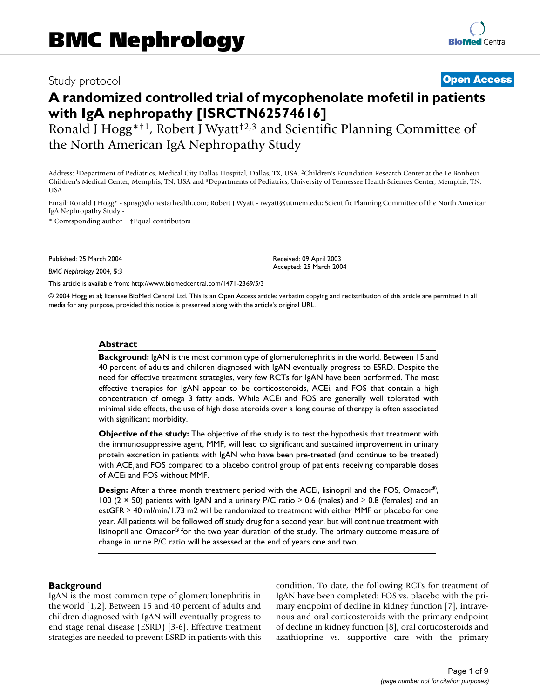# Study protocol **[Open Access](http://www.biomedcentral.com/info/about/charter/)**

# **A randomized controlled trial of mycophenolate mofetil in patients with IgA nephropathy [ISRCTN62574616]**

Ronald J Hogg<sup>\*†1</sup>, Robert J Wyatt<sup>†2,3</sup> and Scientific Planning Committee of the North American IgA Nephropathy Study

Address: 1Department of Pediatrics, Medical City Dallas Hospital, Dallas, TX, USA, 2Children's Foundation Research Center at the Le Bonheur Children's Medical Center, Memphis, TN, USA and 3Departments of Pediatrics, University of Tennessee Health Sciences Center, Memphis, TN, USA

Email: Ronald J Hogg\* - spnsg@lonestarhealth.com; Robert J Wyatt - rwyatt@utmem.edu; Scientific Planning Committee of the North American IgA Nephropathy Study -

> Received: 09 April 2003 Accepted: 25 March 2004

\* Corresponding author †Equal contributors

Published: 25 March 2004

*BMC Nephrology* 2004, **5**:3

[This article is available from: http://www.biomedcentral.com/1471-2369/5/3](http://www.biomedcentral.com/1471-2369/5/3)

© 2004 Hogg et al; licensee BioMed Central Ltd. This is an Open Access article: verbatim copying and redistribution of this article are permitted in all media for any purpose, provided this notice is preserved along with the article's original URL.

#### **Abstract**

**Background:** IgAN is the most common type of glomerulonephritis in the world. Between 15 and 40 percent of adults and children diagnosed with IgAN eventually progress to ESRD. Despite the need for effective treatment strategies, very few RCTs for IgAN have been performed. The most effective therapies for IgAN appear to be corticosteroids, ACEi, and FOS that contain a high concentration of omega 3 fatty acids. While ACEi and FOS are generally well tolerated with minimal side effects, the use of high dose steroids over a long course of therapy is often associated with significant morbidity.

**Objective of the study:** The objective of the study is to test the hypothesis that treatment with the immunosuppressive agent, MMF, will lead to significant and sustained improvement in urinary protein excretion in patients with IgAN who have been pre-treated (and continue to be treated) with ACE<sub>i</sub> and FOS compared to a placebo control group of patients receiving comparable doses of ACEi and FOS without MMF.

**Design:** After a three month treatment period with the ACEi, lisinopril and the FOS, Omacor®, 100 (2 × 50) patients with IgAN and a urinary P/C ratio  $\geq$  0.6 (males) and  $\geq$  0.8 (females) and an estGFR ≥ 40 ml/min/1.73 m2 will be randomized to treatment with either MMF or placebo for one year. All patients will be followed off study drug for a second year, but will continue treatment with lisinopril and Omacor® for the two year duration of the study. The primary outcome measure of change in urine P/C ratio will be assessed at the end of years one and two.

#### **Background**

IgAN is the most common type of glomerulonephritis in the world [1,2]. Between 15 and 40 percent of adults and children diagnosed with IgAN will eventually progress to end stage renal disease (ESRD) [3-6]. Effective treatment strategies are needed to prevent ESRD in patients with this condition. To date, the following RCTs for treatment of IgAN have been completed: FOS vs. placebo with the primary endpoint of decline in kidney function [7], intravenous and oral corticosteroids with the primary endpoint of decline in kidney function [8], oral corticosteroids and azathioprine vs. supportive care with the primary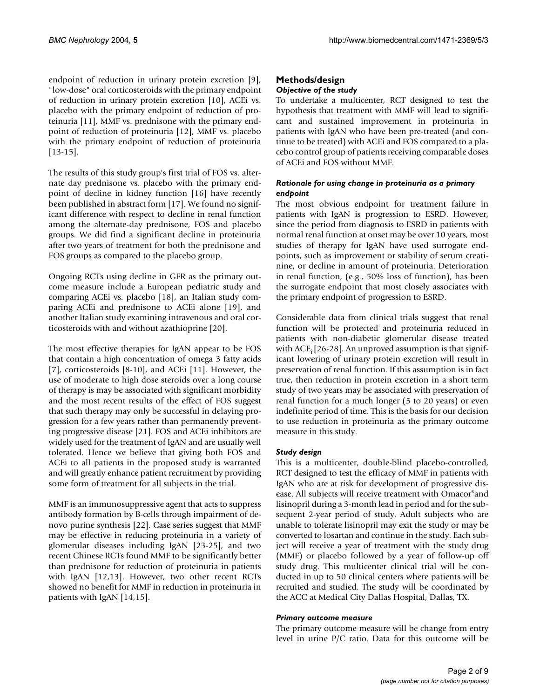endpoint of reduction in urinary protein excretion [9], "low-dose" oral corticosteroids with the primary endpoint of reduction in urinary protein excretion [10], ACEi vs. placebo with the primary endpoint of reduction of proteinuria [11], MMF vs. prednisone with the primary endpoint of reduction of proteinuria [12], MMF vs. placebo with the primary endpoint of reduction of proteinuria [13-15].

The results of this study group's first trial of FOS vs. alternate day prednisone vs. placebo with the primary endpoint of decline in kidney function [16] have recently been published in abstract form [17]. We found no significant difference with respect to decline in renal function among the alternate-day prednisone, FOS and placebo groups. We did find a significant decline in proteinuria after two years of treatment for both the prednisone and FOS groups as compared to the placebo group.

Ongoing RCTs using decline in GFR as the primary outcome measure include a European pediatric study and comparing ACEi vs. placebo [18], an Italian study comparing ACEi and prednisone to ACEi alone [19], and another Italian study examining intravenous and oral corticosteroids with and without azathioprine [20].

The most effective therapies for IgAN appear to be FOS that contain a high concentration of omega 3 fatty acids [7], corticosteroids [8-10], and ACEi [11]. However, the use of moderate to high dose steroids over a long course of therapy is may be associated with significant morbidity and the most recent results of the effect of FOS suggest that such therapy may only be successful in delaying progression for a few years rather than permanently preventing progressive disease [21]. FOS and ACEi inhibitors are widely used for the treatment of IgAN and are usually well tolerated. Hence we believe that giving both FOS and ACEi to all patients in the proposed study is warranted and will greatly enhance patient recruitment by providing some form of treatment for all subjects in the trial.

MMF is an immunosuppressive agent that acts to suppress antibody formation by B-cells through impairment of denovo purine synthesis [22]. Case series suggest that MMF may be effective in reducing proteinuria in a variety of glomerular diseases including IgAN [23-25], and two recent Chinese RCTs found MMF to be significantly better than prednisone for reduction of proteinuria in patients with IgAN [12,13]. However, two other recent RCTs showed no benefit for MMF in reduction in proteinuria in patients with IgAN [14,15].

#### **Methods/design** *Objective of the study*

To undertake a multicenter, RCT designed to test the hypothesis that treatment with MMF will lead to significant and sustained improvement in proteinuria in patients with IgAN who have been pre-treated (and continue to be treated) with ACEi and FOS compared to a placebo control group of patients receiving comparable doses of ACEi and FOS without MMF.

#### *Rationale for using change in proteinuria as a primary endpoint*

The most obvious endpoint for treatment failure in patients with IgAN is progression to ESRD. However, since the period from diagnosis to ESRD in patients with normal renal function at onset may be over 10 years, most studies of therapy for IgAN have used surrogate endpoints, such as improvement or stability of serum creatinine, or decline in amount of proteinuria. Deterioration in renal function, (e.g., 50% loss of function), has been the surrogate endpoint that most closely associates with the primary endpoint of progression to ESRD.

Considerable data from clinical trials suggest that renal function will be protected and proteinuria reduced in patients with non-diabetic glomerular disease treated with ACE<sub>i</sub> [26-28]. An unproved assumption is that significant lowering of urinary protein excretion will result in preservation of renal function. If this assumption is in fact true, then reduction in protein excretion in a short term study of two years may be associated with preservation of renal function for a much longer (5 to 20 years) or even indefinite period of time. This is the basis for our decision to use reduction in proteinuria as the primary outcome measure in this study.

## *Study design*

This is a multicenter, double-blind placebo-controlled, RCT designed to test the efficacy of MMF in patients with IgAN who are at risk for development of progressive disease. All subjects will receive treatment with Omacor®and lisinopril during a 3-month lead in period and for the subsequent 2-year period of study. Adult subjects who are unable to tolerate lisinopril may exit the study or may be converted to losartan and continue in the study. Each subject will receive a year of treatment with the study drug (MMF) or placebo followed by a year of follow-up off study drug. This multicenter clinical trial will be conducted in up to 50 clinical centers where patients will be recruited and studied. The study will be coordinated by the ACC at Medical City Dallas Hospital, Dallas, TX.

#### *Primary outcome measure*

The primary outcome measure will be change from entry level in urine P/C ratio. Data for this outcome will be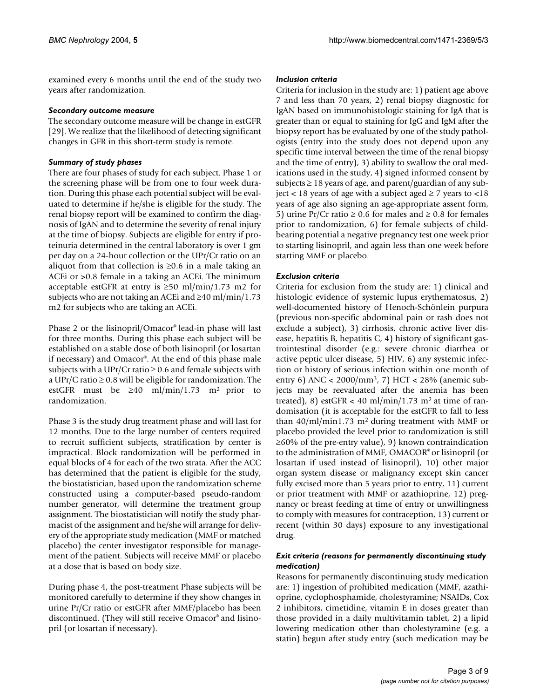examined every 6 months until the end of the study two years after randomization.

#### *Secondary outcome measure*

The secondary outcome measure will be change in estGFR [[29](#page-7-0)]. We realize that the likelihood of detecting significant changes in GFR in this short-term study is remote.

#### *Summary of study phases*

There are four phases of study for each subject. Phase 1 or the screening phase will be from one to four week duration. During this phase each potential subject will be evaluated to determine if he/she is eligible for the study. The renal biopsy report will be examined to confirm the diagnosis of IgAN and to determine the severity of renal injury at the time of biopsy. Subjects are eligible for entry if proteinuria determined in the central laboratory is over 1 gm per day on a 24-hour collection or the UPr/Cr ratio on an aliquot from that collection is ≥0.6 in a male taking an ACEi or >0.8 female in a taking an ACEi. The minimum acceptable estGFR at entry is ≥50 ml/min/1.73 m2 for subjects who are not taking an ACE and  $\geq 40$  ml/min/1.73 m2 for subjects who are taking an ACEi.

Phase 2 or the lisinopril/Omacor® lead-in phase will last for three months. During this phase each subject will be established on a stable dose of both lisinopril (or losartan if necessary) and Omacor®. At the end of this phase male subjects with a UPr/Cr ratio  $\geq 0.6$  and female subjects with a UPr/C ratio  $\geq$  0.8 will be eligible for randomization. The estGFR must be  $\geq 40$  ml/min/1.73 m<sup>2</sup> prior to randomization.

Phase 3 is the study drug treatment phase and will last for 12 months. Due to the large number of centers required to recruit sufficient subjects, stratification by center is impractical. Block randomization will be performed in equal blocks of 4 for each of the two strata. After the ACC has determined that the patient is eligible for the study, the biostatistician, based upon the randomization scheme constructed using a computer-based pseudo-random number generator, will determine the treatment group assignment. The biostatistician will notify the study pharmacist of the assignment and he/she will arrange for delivery of the appropriate study medication (MMF or matched placebo) the center investigator responsible for management of the patient. Subjects will receive MMF or placebo at a dose that is based on body size.

During phase 4, the post-treatment Phase subjects will be monitored carefully to determine if they show changes in urine Pr/Cr ratio or estGFR after MMF/placebo has been discontinued. (They will still receive Omacor® and lisinopril (or losartan if necessary).

#### *Inclusion criteria*

Criteria for inclusion in the study are: 1) patient age above 7 and less than 70 years, 2) renal biopsy diagnostic for IgAN based on immunohistologic staining for IgA that is greater than or equal to staining for IgG and IgM after the biopsy report has be evaluated by one of the study pathologists (entry into the study does not depend upon any specific time interval between the time of the renal biopsy and the time of entry), 3) ability to swallow the oral medications used in the study, 4) signed informed consent by subjects  $\geq 18$  years of age, and parent/guardian of any subject < 18 years of age with a subject aged  $\geq$  7 years to <18 years of age also signing an age-appropriate assent form, 5) urine Pr/Cr ratio  $\geq$  0.6 for males and  $\geq$  0.8 for females prior to randomization, 6) for female subjects of childbearing potential a negative pregnancy test one week prior to starting lisinopril, and again less than one week before starting MMF or placebo.

#### *Exclusion criteria*

Criteria for exclusion from the study are: 1) clinical and histologic evidence of systemic lupus erythematosus, 2) well-documented history of Henoch-Schönlein purpura (previous non-specific abdominal pain or rash does not exclude a subject), 3) cirrhosis, chronic active liver disease, hepatitis B, hepatitis C, 4) history of significant gastrointestinal disorder (e.g.: severe chronic diarrhea or active peptic ulcer disease, 5) HIV, 6) any systemic infection or history of serious infection within one month of entry 6) ANC < 2000/mm3, 7) HCT < 28% (anemic subjects may be reevaluated after the anemia has been treated), 8) estGFR < 40 ml/min/1.73 m<sup>2</sup> at time of randomisation (it is acceptable for the estGFR to fall to less than 40/ml/min1.73 m2 during treatment with MMF or placebo provided the level prior to randomization is still ≥60% of the pre-entry value), 9) known contraindication to the administration of MMF, OMACOR® or lisinopril (or losartan if used instead of lisinopril), 10) other major organ system disease or malignancy except skin cancer fully excised more than 5 years prior to entry, 11) current or prior treatment with MMF or azathioprine, 12) pregnancy or breast feeding at time of entry or unwillingness to comply with measures for contraception, 13) current or recent (within 30 days) exposure to any investigational drug.

#### *Exit criteria (reasons for permanently discontinuing study medication)*

Reasons for permanently discontinuing study medication are: 1) ingestion of prohibited medication (MMF, azathioprine, cyclophosphamide, cholestyramine; NSAIDs, Cox 2 inhibitors, cimetidine, vitamin E in doses greater than those provided in a daily multivitamin tablet, 2) a lipid lowering medication other than cholestyramine (e.g. a statin) begun after study entry (such medication may be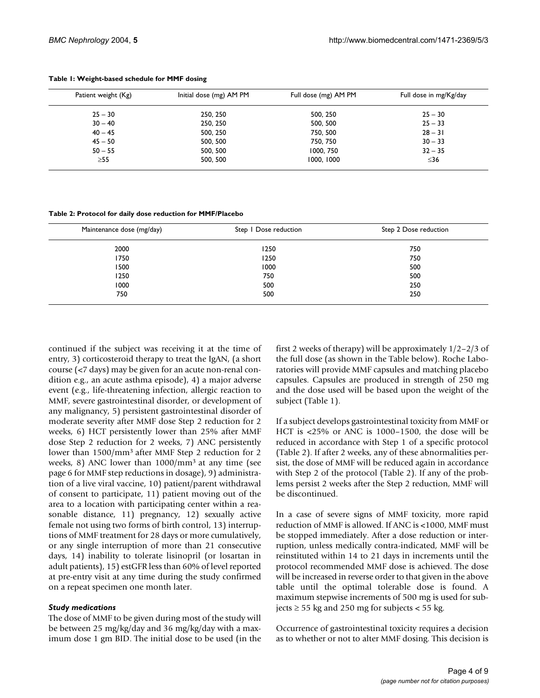| Patient weight (Kg) | Initial dose (mg) AM PM | Full dose (mg) AM PM | Full dose in mg/Kg/day |
|---------------------|-------------------------|----------------------|------------------------|
| $25 - 30$           | 250, 250                | 500, 250             | $25 - 30$              |
| $30 - 40$           | 250, 250                | 500, 500             | $25 - 33$              |
| $40 - 45$           | 500, 250                | 750, 500             | $28 - 31$              |
| $45 - 50$           | 500, 500                | 750, 750             | $30 - 33$              |
| $50 - 55$           | 500, 500                | 1000, 750            | $32 - 35$              |
| $\geq 55$           | 500, 500                | 1000, 1000           | ≤36                    |

#### <span id="page-3-0"></span>**Table 1: Weight-based schedule for MMF dosing**

<span id="page-3-1"></span>**Table 2: Protocol for daily dose reduction for MMF/Placebo**

| Maintenance dose (mg/day) | Step   Dose reduction | Step 2 Dose reduction |
|---------------------------|-----------------------|-----------------------|
| 2000                      | 1250                  | 750                   |
| 1750                      | 1250                  | 750                   |
| 1500                      | 1000                  | 500                   |
| 1250                      | 750                   | 500                   |
| 1000                      | 500                   | 250                   |
| 750                       | 500                   | 250                   |

continued if the subject was receiving it at the time of entry, 3) corticosteroid therapy to treat the IgAN, (a short course (<7 days) may be given for an acute non-renal condition e.g., an acute asthma episode), 4) a major adverse event (e.g., life-threatening infection, allergic reaction to MMF, severe gastrointestinal disorder, or development of any malignancy, 5) persistent gastrointestinal disorder of moderate severity after MMF dose Step 2 reduction for 2 weeks, 6) HCT persistently lower than 25% after MMF dose Step 2 reduction for 2 weeks, 7) ANC persistently lower than 1500/mm3 after MMF Step 2 reduction for 2 weeks, 8) ANC lower than 1000/mm3 at any time (see page 6 for MMF step reductions in dosage), 9) administration of a live viral vaccine, 10) patient/parent withdrawal of consent to participate, 11) patient moving out of the area to a location with participating center within a reasonable distance, 11) pregnancy, 12) sexually active female not using two forms of birth control, 13) interruptions of MMF treatment for 28 days or more cumulatively, or any single interruption of more than 21 consecutive days, 14) inability to tolerate lisinopril (or losartan in adult patients), 15) estGFR less than 60% of level reported at pre-entry visit at any time during the study confirmed on a repeat specimen one month later.

#### *Study medications*

The dose of MMF to be given during most of the study will be between 25 mg/kg/day and 36 mg/kg/day with a maximum dose 1 gm BID. The initial dose to be used (in the first 2 weeks of therapy) will be approximately 1/2–2/3 of the full dose (as shown in the Table below). Roche Laboratories will provide MMF capsules and matching placebo capsules. Capsules are produced in strength of 250 mg and the dose used will be based upon the weight of the subject (Table [1\)](#page-3-0).

If a subject develops gastrointestinal toxicity from MMF or HCT is <25% or ANC is 1000–1500, the dose will be reduced in accordance with Step 1 of a specific protocol (Table [2\)](#page-3-1). If after 2 weeks, any of these abnormalities persist, the dose of MMF will be reduced again in accordance with Step 2 of the protocol (Table [2](#page-3-1)). If any of the problems persist 2 weeks after the Step 2 reduction, MMF will be discontinued.

In a case of severe signs of MMF toxicity, more rapid reduction of MMF is allowed. If ANC is <1000, MMF must be stopped immediately. After a dose reduction or interruption, unless medically contra-indicated, MMF will be reinstituted within 14 to 21 days in increments until the protocol recommended MMF dose is achieved. The dose will be increased in reverse order to that given in the above table until the optimal tolerable dose is found. A maximum stepwise increments of 500 mg is used for subjects ≥ 55 kg and 250 mg for subjects < 55 kg.

Occurrence of gastrointestinal toxicity requires a decision as to whether or not to alter MMF dosing. This decision is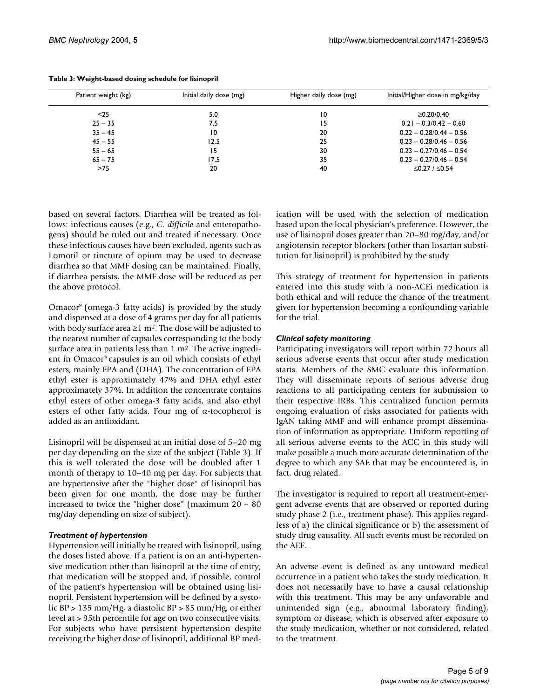| Patient weight (kg) | Initial daily dose (mg) | Higher daily dose (mg) | Initial/Higher dose in mg/kg/day |
|---------------------|-------------------------|------------------------|----------------------------------|
| $25$                | 5.0                     | $\overline{0}$         | ≥0.20/0.40                       |
| $25 - 35$           | 7.5                     | 15                     | $0.21 - 0.3/0.42 - 0.60$         |
| $35 - 45$           | 10                      | 20                     | $0.22 - 0.28/0.44 - 0.56$        |
| $45 - 55$           | 12.5                    | 25                     | $0.23 - 0.28/0.46 - 0.56$        |
| $55 - 65$           | 15                      | 30                     | $0.23 - 0.27/0.46 - 0.54$        |
| $65 - 75$           | 17.5                    | 35                     | $0.23 - 0.27/0.46 - 0.54$        |
| >75                 | 20                      | 40                     | $\leq$ 0.27 / $\leq$ 0.54        |

<span id="page-4-0"></span>**Table 3: Weight-based dosing schedule for lisinopril**

based on several factors. Diarrhea will be treated as follows: infectious causes (e.g., *C. difficile* and enteropathogens) should be ruled out and treated if necessary. Once these infectious causes have been excluded, agents such as Lomotil or tincture of opium may be used to decrease diarrhea so that MMF dosing can be maintained. Finally, if diarrhea persists, the MMF dose will be reduced as per the above protocol.

Omacor® (omega-3 fatty acids) is provided by the study and dispensed at a dose of 4 grams per day for all patients with body surface area  $\geq 1$  m<sup>2</sup>. The dose will be adjusted to the nearest number of capsules corresponding to the body surface area in patients less than 1 m<sup>2</sup>. The active ingredient in Omacor® capsules is an oil which consists of ethyl esters, mainly EPA and (DHA). The concentration of EPA ethyl ester is approximately 47% and DHA ethyl ester approximately 37%. In addition the concentrate contains ethyl esters of other omega-3 fatty acids, and also ethyl esters of other fatty acids. Four mg of  $\alpha$ -tocopherol is added as an antioxidant.

Lisinopril will be dispensed at an initial dose of 5–20 mg per day depending on the size of the subject (Table [3\)](#page-4-0). If this is well tolerated the dose will be doubled after 1 month of therapy to 10–40 mg per day. For subjects that are hypertensive after the "higher dose" of lisinopril has been given for one month, the dose may be further increased to twice the "higher dose" (maximum 20 – 80 mg/day depending on size of subject).

#### *Treatment of hypertension*

Hypertension will initially be treated with lisinopril, using the doses listed above. If a patient is on an anti-hypertensive medication other than lisinopril at the time of entry, that medication will be stopped and, if possible, control of the patient's hypertension will be obtained using lisinopril. Persistent hypertension will be defined by a systolic BP > 135 mm/Hg, a diastolic BP > 85 mm/Hg, or either level at > 95th percentile for age on two consecutive visits. For subjects who have persistent hypertension despite receiving the higher dose of lisinopril, additional BP medication will be used with the selection of medication based upon the local physician's preference. However, the use of lisinopril doses greater than 20–80 mg/day, and/or angiotensin receptor blockers (other than losartan substitution for lisinopril) is prohibited by the study.

This strategy of treatment for hypertension in patients entered into this study with a non-ACEi medication is both ethical and will reduce the chance of the treatment given for hypertension becoming a confounding variable for the trial.

#### *Clinical safety monitoring*

Participating investigators will report within 72 hours all serious adverse events that occur after study medication starts. Members of the SMC evaluate this information. They will disseminate reports of serious adverse drug reactions to all participating centers for submission to their respective IRBs. This centralized function permits ongoing evaluation of risks associated for patients with IgAN taking MMF and will enhance prompt dissemination of information as appropriate. Uniform reporting of all serious adverse events to the ACC in this study will make possible a much more accurate determination of the degree to which any SAE that may be encountered is, in fact, drug related.

The investigator is required to report all treatment-emergent adverse events that are observed or reported during study phase 2 (i.e., treatment phase). This applies regardless of a) the clinical significance or b) the assessment of study drug causality. All such events must be recorded on the AEF.

An adverse event is defined as any untoward medical occurrence in a patient who takes the study medication. It does not necessarily have to have a causal relationship with this treatment. This may be any unfavorable and unintended sign (e.g., abnormal laboratory finding), symptom or disease, which is observed after exposure to the study medication, whether or not considered, related to the treatment.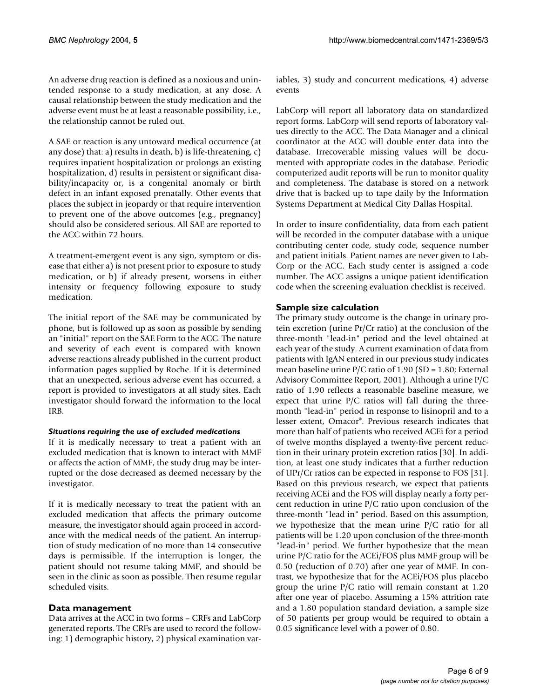An adverse drug reaction is defined as a noxious and unintended response to a study medication, at any dose. A causal relationship between the study medication and the adverse event must be at least a reasonable possibility, i.e., the relationship cannot be ruled out.

A SAE or reaction is any untoward medical occurrence (at any dose) that: a) results in death, b) is life-threatening, c) requires inpatient hospitalization or prolongs an existing hospitalization, d) results in persistent or significant disability/incapacity or, is a congenital anomaly or birth defect in an infant exposed prenatally. Other events that places the subject in jeopardy or that require intervention to prevent one of the above outcomes (e.g., pregnancy) should also be considered serious. All SAE are reported to the ACC within 72 hours.

A treatment-emergent event is any sign, symptom or disease that either a) is not present prior to exposure to study medication, or b) if already present, worsens in either intensity or frequency following exposure to study medication.

The initial report of the SAE may be communicated by phone, but is followed up as soon as possible by sending an "initial" report on the SAE Form to the ACC. The nature and severity of each event is compared with known adverse reactions already published in the current product information pages supplied by Roche. If it is determined that an unexpected, serious adverse event has occurred, a report is provided to investigators at all study sites. Each investigator should forward the information to the local IRB.

#### *Situations requiring the use of excluded medications*

If it is medically necessary to treat a patient with an excluded medication that is known to interact with MMF or affects the action of MMF, the study drug may be interrupted or the dose decreased as deemed necessary by the investigator.

If it is medically necessary to treat the patient with an excluded medication that affects the primary outcome measure, the investigator should again proceed in accordance with the medical needs of the patient. An interruption of study medication of no more than 14 consecutive days is permissible. If the interruption is longer, the patient should not resume taking MMF, and should be seen in the clinic as soon as possible. Then resume regular scheduled visits.

#### **Data management**

Data arrives at the ACC in two forms – CRFs and LabCorp generated reports. The CRFs are used to record the following: 1) demographic history, 2) physical examination variables, 3) study and concurrent medications, 4) adverse events

LabCorp will report all laboratory data on standardized report forms. LabCorp will send reports of laboratory values directly to the ACC. The Data Manager and a clinical coordinator at the ACC will double enter data into the database. Irrecoverable missing values will be documented with appropriate codes in the database. Periodic computerized audit reports will be run to monitor quality and completeness. The database is stored on a network drive that is backed up to tape daily by the Information Systems Department at Medical City Dallas Hospital.

In order to insure confidentiality, data from each patient will be recorded in the computer database with a unique contributing center code, study code, sequence number and patient initials. Patient names are never given to Lab-Corp or the ACC. Each study center is assigned a code number. The ACC assigns a unique patient identification code when the screening evaluation checklist is received.

#### **Sample size calculation**

The primary study outcome is the change in urinary protein excretion (urine Pr/Cr ratio) at the conclusion of the three-month "lead-in" period and the level obtained at each year of the study. A current examination of data from patients with IgAN entered in our previous study indicates mean baseline urine  $P/C$  ratio of 1.90 (SD = 1.80; External Advisory Committee Report, 2001). Although a urine P/C ratio of 1.90 reflects a reasonable baseline measure, we expect that urine P/C ratios will fall during the threemonth "lead-in" period in response to lisinopril and to a lesser extent, Omacor®. Previous research indicates that more than half of patients who received ACEi for a period of twelve months displayed a twenty-five percent reduction in their urinary protein excretion ratios [30]. In addition, at least one study indicates that a further reduction of UPr/Cr ratios can be expected in response to FOS [31]. Based on this previous research, we expect that patients receiving ACEi and the FOS will display nearly a forty percent reduction in urine P/C ratio upon conclusion of the three-month "lead in" period. Based on this assumption, we hypothesize that the mean urine P/C ratio for all patients will be 1.20 upon conclusion of the three-month "lead-in" period. We further hypothesize that the mean urine P/C ratio for the ACEi/FOS plus MMF group will be 0.50 (reduction of 0.70) after one year of MMF. In contrast, we hypothesize that for the ACEi/FOS plus placebo group the urine P/C ratio will remain constant at 1.20 after one year of placebo. Assuming a 15% attrition rate and a 1.80 population standard deviation, a sample size of 50 patients per group would be required to obtain a 0.05 significance level with a power of 0.80.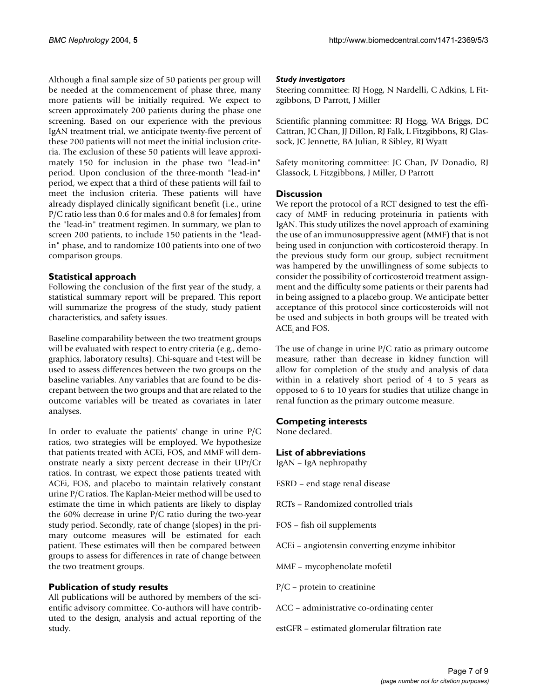Although a final sample size of 50 patients per group will be needed at the commencement of phase three, many more patients will be initially required. We expect to screen approximately 200 patients during the phase one screening. Based on our experience with the previous IgAN treatment trial, we anticipate twenty-five percent of these 200 patients will not meet the initial inclusion criteria. The exclusion of these 50 patients will leave approximately 150 for inclusion in the phase two "lead-in" period. Upon conclusion of the three-month "lead-in" period, we expect that a third of these patients will fail to meet the inclusion criteria. These patients will have already displayed clinically significant benefit (i.e., urine P/C ratio less than 0.6 for males and 0.8 for females) from the "lead-in" treatment regimen. In summary, we plan to screen 200 patients, to include 150 patients in the "leadin" phase, and to randomize 100 patients into one of two comparison groups.

#### **Statistical approach**

Following the conclusion of the first year of the study, a statistical summary report will be prepared. This report will summarize the progress of the study, study patient characteristics, and safety issues.

Baseline comparability between the two treatment groups will be evaluated with respect to entry criteria (e.g., demographics, laboratory results). Chi-square and t-test will be used to assess differences between the two groups on the baseline variables. Any variables that are found to be discrepant between the two groups and that are related to the outcome variables will be treated as covariates in later analyses.

In order to evaluate the patients' change in urine  $P/C$ ratios, two strategies will be employed. We hypothesize that patients treated with ACEi, FOS, and MMF will demonstrate nearly a sixty percent decrease in their UPr/Cr ratios. In contrast, we expect those patients treated with ACEi, FOS, and placebo to maintain relatively constant urine P/C ratios. The Kaplan-Meier method will be used to estimate the time in which patients are likely to display the 60% decrease in urine P/C ratio during the two-year study period. Secondly, rate of change (slopes) in the primary outcome measures will be estimated for each patient. These estimates will then be compared between groups to assess for differences in rate of change between the two treatment groups.

## **Publication of study results**

All publications will be authored by members of the scientific advisory committee. Co-authors will have contributed to the design, analysis and actual reporting of the study.

#### *Study investigators*

Steering committee: RJ Hogg, N Nardelli, C Adkins, L Fitzgibbons, D Parrott, J Miller

Scientific planning committee: RJ Hogg, WA Briggs, DC Cattran, JC Chan, JJ Dillon, RJ Falk, L Fitzgibbons, RJ Glassock, JC Jennette, BA Julian, R Sibley, RJ Wyatt

Safety monitoring committee: JC Chan, JV Donadio, RJ Glassock, L Fitzgibbons, J Miller, D Parrott

#### **Discussion**

We report the protocol of a RCT designed to test the efficacy of MMF in reducing proteinuria in patients with IgAN. This study utilizes the novel approach of examining the use of an immunosuppressive agent (MMF) that is not being used in conjunction with corticosteroid therapy. In the previous study form our group, subject recruitment was hampered by the unwillingness of some subjects to consider the possibility of corticosteroid treatment assignment and the difficulty some patients or their parents had in being assigned to a placebo group. We anticipate better acceptance of this protocol since corticosteroids will not be used and subjects in both groups will be treated with  $ACE<sub>i</sub>$  and FOS.

The use of change in urine P/C ratio as primary outcome measure, rather than decrease in kidney function will allow for completion of the study and analysis of data within in a relatively short period of 4 to 5 years as opposed to 6 to 10 years for studies that utilize change in renal function as the primary outcome measure.

## **Competing interests**

None declared.

#### **List of abbreviations**

IgAN – IgA nephropathy

- ESRD end stage renal disease
- RCTs Randomized controlled trials
- FOS fish oil supplements
- ACEi angiotensin converting enzyme inhibitor
- MMF mycophenolate mofetil
- $P/C$  protein to creatinine
- ACC administrative co-ordinating center
- estGFR estimated glomerular filtration rate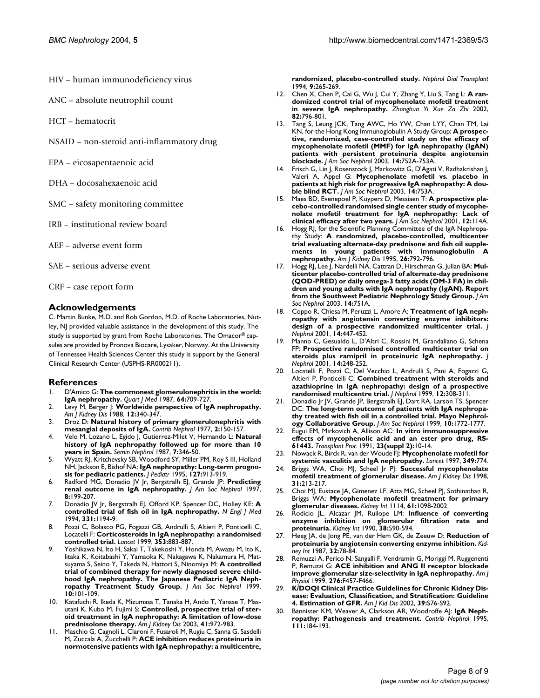- HIV human immunodeficiency virus
- ANC absolute neutrophil count
- HCT hematocrit
- NSAID non-steroid anti-inflammatory drug
- EPA eicosapentaenoic acid
- DHA docosahexaenoic acid
- SMC safety monitoring committee
- IRB institutional review board
- AEF adverse event form
- SAE serious adverse event
- CRF case report form

#### **Acknowledgements**

C. Martin Bunke, M.D. and Rob Gordon, M.D. of Roche Laboratories, Nutley, NJ provided valuable assistance in the development of this study. The study is supported by grant from Roche Laboratories. The Omacor® capsules are provided by Pronova Biocare, Lysaker, Norway. At the University of Tennessee Health Sciences Center this study is support by the General Clinical Research Center (USPHS-RR000211).

#### **References**

- 1. D'Amico G: **[The commonest glomerulonephritis in the world:](http://www.ncbi.nlm.nih.gov/entrez/query.fcgi?cmd=Retrieve&db=PubMed&dopt=Abstract&list_uids=3329736) [IgA nephropathy.](http://www.ncbi.nlm.nih.gov/entrez/query.fcgi?cmd=Retrieve&db=PubMed&dopt=Abstract&list_uids=3329736)** *Quart J Med* 1987, **64:**709-727.
- Levy M, Berger J: [Worldwide perspective of IgA nephropathy.](http://www.ncbi.nlm.nih.gov/entrez/query.fcgi?cmd=Retrieve&db=PubMed&dopt=Abstract&list_uids=3055955) *Am J Kidney Dis* 1988, **12:**340-347.
- 3. Droz D: **Natural history of primary glomerulonephritis with mesangial deposits of IgA.** *Contrib Nephrol* 1977, **2:**150-157.
- 4. Velo M, Lozano L, Egido J, Gutierrez-Milet V, Hernando L: **[Natural](http://www.ncbi.nlm.nih.gov/entrez/query.fcgi?cmd=Retrieve&db=PubMed&dopt=Abstract&list_uids=3445013) [history of IgA nephropathy followed up for more than 10](http://www.ncbi.nlm.nih.gov/entrez/query.fcgi?cmd=Retrieve&db=PubMed&dopt=Abstract&list_uids=3445013) [years in Spain.](http://www.ncbi.nlm.nih.gov/entrez/query.fcgi?cmd=Retrieve&db=PubMed&dopt=Abstract&list_uids=3445013)** *Semin Nephrol* 1987, **7:**346-50.
- 5. Wyatt RJ, Kritchevsky SB, Woodford SY, Miller PM, Roy S III, Holland NH, Jackson E, Bishof NA: **[IgA nephropathy: Long-term progno](http://www.ncbi.nlm.nih.gov/entrez/query.fcgi?cmd=Retrieve&db=PubMed&dopt=Abstract&list_uids=8523188)[sis for pediatric patients.](http://www.ncbi.nlm.nih.gov/entrez/query.fcgi?cmd=Retrieve&db=PubMed&dopt=Abstract&list_uids=8523188)** *J Pediatr* 1995, **127:**913-919.
- 6. Radford MG, Donadio JV Jr, Bergstralh EJ, Grande JP: **[Predicting](http://www.ncbi.nlm.nih.gov/entrez/query.fcgi?cmd=Retrieve&db=PubMed&dopt=Abstract&list_uids=9048338) [renal outcome in IgA nephropathy.](http://www.ncbi.nlm.nih.gov/entrez/query.fcgi?cmd=Retrieve&db=PubMed&dopt=Abstract&list_uids=9048338)** *J Am Soc Nephrol* 1997, **8:**199-207.
- 7. Donadio JV Jr, Bergstralh EJ, Offord KP, Spencer DC, Holley KE: **[A](http://www.ncbi.nlm.nih.gov/entrez/query.fcgi?cmd=Retrieve&db=PubMed&dopt=Abstract&list_uids=10.1056/NEJM199411033311804) [controlled trial of fish oil in IgA nephropathy](http://www.ncbi.nlm.nih.gov/entrez/query.fcgi?cmd=Retrieve&db=PubMed&dopt=Abstract&list_uids=10.1056/NEJM199411033311804)[.](http://www.ncbi.nlm.nih.gov/entrez/query.fcgi?cmd=Retrieve&db=PubMed&dopt=Abstract&list_uids=7935657)** *N Engl J Med* 1994, **331:**1194-9.
- 8. Pozzi C, Bolasco PG, Fogazzi GB, Andrulli S, Altieri P, Ponticelli C, Locatelli F: **[Corticosteroids in IgA nephropathy: a randomised](http://www.ncbi.nlm.nih.gov/entrez/query.fcgi?cmd=Retrieve&db=PubMed&dopt=Abstract&list_uids=10.1016/S0140-6736(98)03563-6) [controlled trial](http://www.ncbi.nlm.nih.gov/entrez/query.fcgi?cmd=Retrieve&db=PubMed&dopt=Abstract&list_uids=10.1016/S0140-6736(98)03563-6)[.](http://www.ncbi.nlm.nih.gov/entrez/query.fcgi?cmd=Retrieve&db=PubMed&dopt=Abstract&list_uids=10093981)** *Lancet* 1999, **353:**883-887.
- 9. Yoshikawa N, Ito H, Sakai T, Takekoshi Y, Honda M, Awazu M, Ito K, Iitaka K, Koitabashi Y, Yamaoka K, Nakagawa K, Nakamura H, Matsuyama S, Seino Y, Takeda N, Hattori S, Ninomiya M: **[A controlled](http://www.ncbi.nlm.nih.gov/entrez/query.fcgi?cmd=Retrieve&db=PubMed&dopt=Abstract&list_uids=9890315) [trial of combined therapy for newly diagnosed severe child](http://www.ncbi.nlm.nih.gov/entrez/query.fcgi?cmd=Retrieve&db=PubMed&dopt=Abstract&list_uids=9890315)hood IgA nephropathy. The Japanese Pediatric IgA Neph[ropathy Treatment Study Group.](http://www.ncbi.nlm.nih.gov/entrez/query.fcgi?cmd=Retrieve&db=PubMed&dopt=Abstract&list_uids=9890315)** *J Am Soc Nephrol* 1999, **10:**101-109.
- 10. Katafuchi R, Ikeda K, Mizumasa T, Tanaka H, Ando T, Yanase T, Masutani K, Kubo M, Fujimi S: **[Controlled, prospective trial of ster](http://www.ncbi.nlm.nih.gov/entrez/query.fcgi?cmd=Retrieve&db=PubMed&dopt=Abstract&list_uids=10.1016/S0272-6386(03)00194-X)[oid treatment in IgA nephropathy: A limitation of low-dose](http://www.ncbi.nlm.nih.gov/entrez/query.fcgi?cmd=Retrieve&db=PubMed&dopt=Abstract&list_uids=10.1016/S0272-6386(03)00194-X) [prednisolone therapy](http://www.ncbi.nlm.nih.gov/entrez/query.fcgi?cmd=Retrieve&db=PubMed&dopt=Abstract&list_uids=10.1016/S0272-6386(03)00194-X)[.](http://www.ncbi.nlm.nih.gov/entrez/query.fcgi?cmd=Retrieve&db=PubMed&dopt=Abstract&list_uids=12722031)** *Am J Kidney Dis* 2003, **41:**972-983.
- 11. Maschio G, Cagnoli L, Claroni F, Fusaroli M, Rugiu C, Sanna G, Sasdelli M, Zuccala A, Zucchelli P: **[ACE inhibition reduces proteinuria in](http://www.ncbi.nlm.nih.gov/entrez/query.fcgi?cmd=Retrieve&db=PubMed&dopt=Abstract&list_uids=8052432) [normotensive patients with IgA nephropathy: a multicentre,](http://www.ncbi.nlm.nih.gov/entrez/query.fcgi?cmd=Retrieve&db=PubMed&dopt=Abstract&list_uids=8052432)**

**[randomized, placebo-controlled study.](http://www.ncbi.nlm.nih.gov/entrez/query.fcgi?cmd=Retrieve&db=PubMed&dopt=Abstract&list_uids=8052432)** *Nephrol Dial Transplant* 1994, **9:**265-269.

- 12. Chen X, Chen P, Cai G, Wu J, Cui Y, Zhang Y, Liu S, Tang L: **[A ran](http://www.ncbi.nlm.nih.gov/entrez/query.fcgi?cmd=Retrieve&db=PubMed&dopt=Abstract&list_uids=12126522)[domized control trial of mycophenolate mofetil treatment](http://www.ncbi.nlm.nih.gov/entrez/query.fcgi?cmd=Retrieve&db=PubMed&dopt=Abstract&list_uids=12126522) [in severe IgA nephropathy.](http://www.ncbi.nlm.nih.gov/entrez/query.fcgi?cmd=Retrieve&db=PubMed&dopt=Abstract&list_uids=12126522)** *Zhonghua Yi Xue Za Zhi* 2002, **82:**796-801.
- 13. Tang S, Leung JCK, Tang AWC, Ho YW, Chan LYY, Chan TM, Lai KN, for the Hong Kong Immunoglobulin A Study Group: **A prospective, randomized, case-controlled study on the efficacy of mycophenolate mofetil (MMF) for IgA nephropathy (IgAN) patients with persistent proteinuria despite angiotensin blockade.** *J Am Soc Nephrol* 2003, **14:**752A-753A.
- 14. Frisch G, Lin J, Rosenstock J, Markowitz G, D'Agati V, Radhakrishan J, Valeri A, Appel G: **Mycophenolate mofetil vs. placebo in patients at high risk for progressive IgA nephropathy: A double blind RCT.** *J Am Soc Nephrol* 2003, **14:**753A.
- 15. Maes BD, Evenepoel P, Kuypers D, Messiaen T: **[A prospective pla](http://www.ncbi.nlm.nih.gov/entrez/query.fcgi?cmd=Retrieve&db=PubMed&dopt=Abstract&list_uids=10.1159/000047690)cebo-controlled randomised single center study of mycophe[nolate mofetil treatment for IgA nephropathy: Lack of](http://www.ncbi.nlm.nih.gov/entrez/query.fcgi?cmd=Retrieve&db=PubMed&dopt=Abstract&list_uids=10.1159/000047690) [clinical efficacy after two years.](http://www.ncbi.nlm.nih.gov/entrez/query.fcgi?cmd=Retrieve&db=PubMed&dopt=Abstract&list_uids=10.1159/000047690)** *J Am Soc Nephrol* 2001, **12:**114A.
- 16. Hogg RJ, for the Scientific Planning Committee of the IgA Nephropa-Study: [A randomized, placebo-controlled, multicenter](http://www.ncbi.nlm.nih.gov/entrez/query.fcgi?cmd=Retrieve&db=PubMed&dopt=Abstract&list_uids=7485134) **[trial evaluating alternate-day prednisone and fish oil supple](http://www.ncbi.nlm.nih.gov/entrez/query.fcgi?cmd=Retrieve&db=PubMed&dopt=Abstract&list_uids=7485134)ments in young patients with immunoglobulin A [nephropathy.](http://www.ncbi.nlm.nih.gov/entrez/query.fcgi?cmd=Retrieve&db=PubMed&dopt=Abstract&list_uids=7485134)** *Am J Kidney Dis* 1995, **26:**792-796.
- 17. Hogg RJ, Lee J, Nardelli NA, Cattran D, Hirschman G, Julian BA: **Multicenter placebo-controlled trial of alternate-day prednisone (QOD-PRED) or daily omega-3 fatty acids (OM-3 FA) in children and young adults with IgA nephropathy (IgAN). Report from the Southwest Pediatric Nephrology Study Group.** *J Am Soc Nephrol* 2003, **14:**751A.
- 18. Coppo R, Chiesa M, Peruzzi L, Amore A: **[Treatment of IgA neph](http://www.ncbi.nlm.nih.gov/entrez/query.fcgi?cmd=Retrieve&db=PubMed&dopt=Abstract&list_uids=11783600)[ropathy with angiotensin converting enzyme inhibitors:](http://www.ncbi.nlm.nih.gov/entrez/query.fcgi?cmd=Retrieve&db=PubMed&dopt=Abstract&list_uids=11783600) [design of a prospective randomized multicenter trial.](http://www.ncbi.nlm.nih.gov/entrez/query.fcgi?cmd=Retrieve&db=PubMed&dopt=Abstract&list_uids=11783600)** *J Nephrol* 2001, **14:**447-452.
- 19. Manno C, Gesualdo L, D'Altri C, Rossini M, Grandaliano G, Schena FP: **[Prospective randomised controlled multicenter trial on](http://www.ncbi.nlm.nih.gov/entrez/query.fcgi?cmd=Retrieve&db=PubMed&dopt=Abstract&list_uids=11506246) [steroids plus ramipril in proteinuric IgA nephropathy.](http://www.ncbi.nlm.nih.gov/entrez/query.fcgi?cmd=Retrieve&db=PubMed&dopt=Abstract&list_uids=11506246)** *J Nephrol* 2001, **14:**248-252.
- 20. Locatelli F, Pozzi C, Del Vecchio L, Andrulli S, Pani A, Fogazzi G, Altieri P, Ponticelli C: **[Combined treatment with steroids and](http://www.ncbi.nlm.nih.gov/entrez/query.fcgi?cmd=Retrieve&db=PubMed&dopt=Abstract&list_uids=10630693) [azathioprine in IgA nephropathy: design of a prospective](http://www.ncbi.nlm.nih.gov/entrez/query.fcgi?cmd=Retrieve&db=PubMed&dopt=Abstract&list_uids=10630693) [randomised multicentre trial.](http://www.ncbi.nlm.nih.gov/entrez/query.fcgi?cmd=Retrieve&db=PubMed&dopt=Abstract&list_uids=10630693)** *J Nephrol* 1999, **12:**308-311.
- 21. Donadio Jr JV, Grande JP, Bergstralh EJ, Dart RA, Larson TS, Spencer DC: **[The long-term outcome of patients with IgA nephropa](http://www.ncbi.nlm.nih.gov/entrez/query.fcgi?cmd=Retrieve&db=PubMed&dopt=Abstract&list_uids=10446945)[thy treated with fish oil in a controlled trial. Mayo Nephrol](http://www.ncbi.nlm.nih.gov/entrez/query.fcgi?cmd=Retrieve&db=PubMed&dopt=Abstract&list_uids=10446945)[ogy Collaborative Group.](http://www.ncbi.nlm.nih.gov/entrez/query.fcgi?cmd=Retrieve&db=PubMed&dopt=Abstract&list_uids=10446945)** *J Am Soc Nephrol* 1999, **10:**1772-1777.
- 22. Eugui EM, Mirkovich A, Allison AC: **[In vitro immunosuppressive](http://www.ncbi.nlm.nih.gov/entrez/query.fcgi?cmd=Retrieve&db=PubMed&dopt=Abstract&list_uids=2063415) [effects of mycophenolic acid and an ester pro drug, RS-](http://www.ncbi.nlm.nih.gov/entrez/query.fcgi?cmd=Retrieve&db=PubMed&dopt=Abstract&list_uids=2063415)[61443.](http://www.ncbi.nlm.nih.gov/entrez/query.fcgi?cmd=Retrieve&db=PubMed&dopt=Abstract&list_uids=2063415)** *Transplant Proc* 1991, **23(suppl 2):**10-14.
- 23. Nowack R, Birck R, van der Woude FJ: **[Mycophenolate mofetil for](http://www.ncbi.nlm.nih.gov/entrez/query.fcgi?cmd=Retrieve&db=PubMed&dopt=Abstract&list_uids=9074580) [systemic vasculitis and IgA nephropathy.](http://www.ncbi.nlm.nih.gov/entrez/query.fcgi?cmd=Retrieve&db=PubMed&dopt=Abstract&list_uids=9074580)** *Lancet* 1997, **349:**774.
- 24. Briggs WA, Choi MJ, Scheel Jr PJ: **[Successful mycophenolate](http://www.ncbi.nlm.nih.gov/entrez/query.fcgi?cmd=Retrieve&db=PubMed&dopt=Abstract&list_uids=9469489) [mofetil treatment of glomerular disease.](http://www.ncbi.nlm.nih.gov/entrez/query.fcgi?cmd=Retrieve&db=PubMed&dopt=Abstract&list_uids=9469489)** *Am J Kidney Dis* 1998, **31:**213-217.
- 25. Choi MJ, Eustace JA, Gimenez LF, Atta MG, Scheel PJ, Sothinathan R, Briggs WA: **[Mycophenolate mofetil treatment for primary](http://www.ncbi.nlm.nih.gov/entrez/query.fcgi?cmd=Retrieve&db=PubMed&dopt=Abstract&list_uids=10.1046/j.1523-1755.2002.00214.x) [glomerular diseases.](http://www.ncbi.nlm.nih.gov/entrez/query.fcgi?cmd=Retrieve&db=PubMed&dopt=Abstract&list_uids=10.1046/j.1523-1755.2002.00214.x)** *Kidney Int* 1114, **61:**1098-2002.
- 26. Rodicio JL, Alcazar JM, Ruilope LM: **[Influence of converting](http://www.ncbi.nlm.nih.gov/entrez/query.fcgi?cmd=Retrieve&db=PubMed&dopt=Abstract&list_uids=2232500) [enzyme inhibition on glomerular filtration rate and](http://www.ncbi.nlm.nih.gov/entrez/query.fcgi?cmd=Retrieve&db=PubMed&dopt=Abstract&list_uids=2232500) [proteinuria.](http://www.ncbi.nlm.nih.gov/entrez/query.fcgi?cmd=Retrieve&db=PubMed&dopt=Abstract&list_uids=2232500)** *Kidney Int* 1990, **38:**590-594.
- 27. Heeg JA, de Jong PE, van der Hem GK, de Zeeuw D: **[Reduction of](http://www.ncbi.nlm.nih.gov/entrez/query.fcgi?cmd=Retrieve&db=PubMed&dopt=Abstract&list_uids=3041097) [proteinuria by angiotensin converting enzyme inhibition.](http://www.ncbi.nlm.nih.gov/entrez/query.fcgi?cmd=Retrieve&db=PubMed&dopt=Abstract&list_uids=3041097)** *Kidney Int* 1987, **32:**78-84.
- 28. Remuzzi A, Perico N, Sangalli F, Vendramin G, Moriggi M, Ruggenenti P, Remuzzi G: **[ACE inhibition and ANG II receptor blockade](http://www.ncbi.nlm.nih.gov/entrez/query.fcgi?cmd=Retrieve&db=PubMed&dopt=Abstract&list_uids=10070170) [improve glomerular size-selectivity in IgA nephropathy.](http://www.ncbi.nlm.nih.gov/entrez/query.fcgi?cmd=Retrieve&db=PubMed&dopt=Abstract&list_uids=10070170)** *Am J Physiol* 1999, **276:**F457-F466.
- <span id="page-7-0"></span>29. **[K/DOQI Clinical Practice Guidelines for Chronic Kidney Dis](http://www.ncbi.nlm.nih.gov/entrez/query.fcgi?cmd=Retrieve&db=PubMed&dopt=Abstract&list_uids=10.1053/ajkd.2002.30944)[ease: Evaluation, Classification, and Stratification: Guideline](http://www.ncbi.nlm.nih.gov/entrez/query.fcgi?cmd=Retrieve&db=PubMed&dopt=Abstract&list_uids=10.1053/ajkd.2002.30944) [4. Estimation of GFR.](http://www.ncbi.nlm.nih.gov/entrez/query.fcgi?cmd=Retrieve&db=PubMed&dopt=Abstract&list_uids=10.1053/ajkd.2002.30944)** *Am J Kid Dis* 2002, **39:**S76-S92.
- 30. Bannister KM, Weaver A, Clarkson AR, Woodroffe AJ: **[lgA Neph](http://www.ncbi.nlm.nih.gov/entrez/query.fcgi?cmd=Retrieve&db=PubMed&dopt=Abstract&list_uids=7758341)[ropathy: Pathogenesis and treatment.](http://www.ncbi.nlm.nih.gov/entrez/query.fcgi?cmd=Retrieve&db=PubMed&dopt=Abstract&list_uids=7758341)** *Contrib Nephrol* 1995, **111:**184-193.